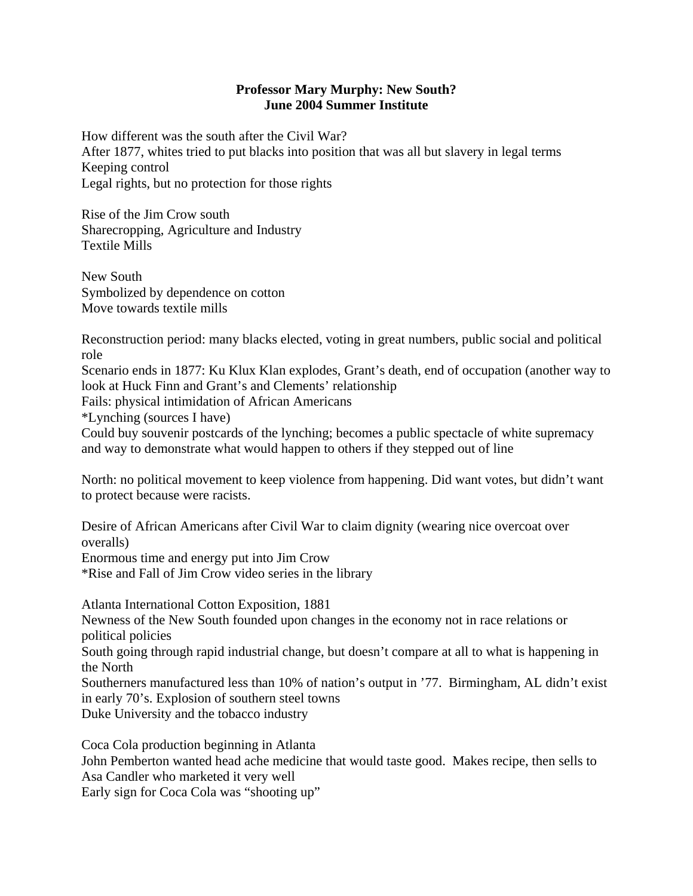## **Professor Mary Murphy: New South? June 2004 Summer Institute**

How different was the south after the Civil War? After 1877, whites tried to put blacks into position that was all but slavery in legal terms Keeping control Legal rights, but no protection for those rights

Rise of the Jim Crow south Sharecropping, Agriculture and Industry Textile Mills

New South Symbolized by dependence on cotton Move towards textile mills

Reconstruction period: many blacks elected, voting in great numbers, public social and political role

Scenario ends in 1877: Ku Klux Klan explodes, Grant's death, end of occupation (another way to look at Huck Finn and Grant's and Clements' relationship

Fails: physical intimidation of African Americans

\*Lynching (sources I have)

Could buy souvenir postcards of the lynching; becomes a public spectacle of white supremacy and way to demonstrate what would happen to others if they stepped out of line

North: no political movement to keep violence from happening. Did want votes, but didn't want to protect because were racists.

Desire of African Americans after Civil War to claim dignity (wearing nice overcoat over overalls)

Enormous time and energy put into Jim Crow \*Rise and Fall of Jim Crow video series in the library

Atlanta International Cotton Exposition, 1881 Newness of the New South founded upon changes in the economy not in race relations or political policies

South going through rapid industrial change, but doesn't compare at all to what is happening in the North

Southerners manufactured less than 10% of nation's output in '77. Birmingham, AL didn't exist in early 70's. Explosion of southern steel towns Duke University and the tobacco industry

Coca Cola production beginning in Atlanta John Pemberton wanted head ache medicine that would taste good. Makes recipe, then sells to Asa Candler who marketed it very well Early sign for Coca Cola was "shooting up"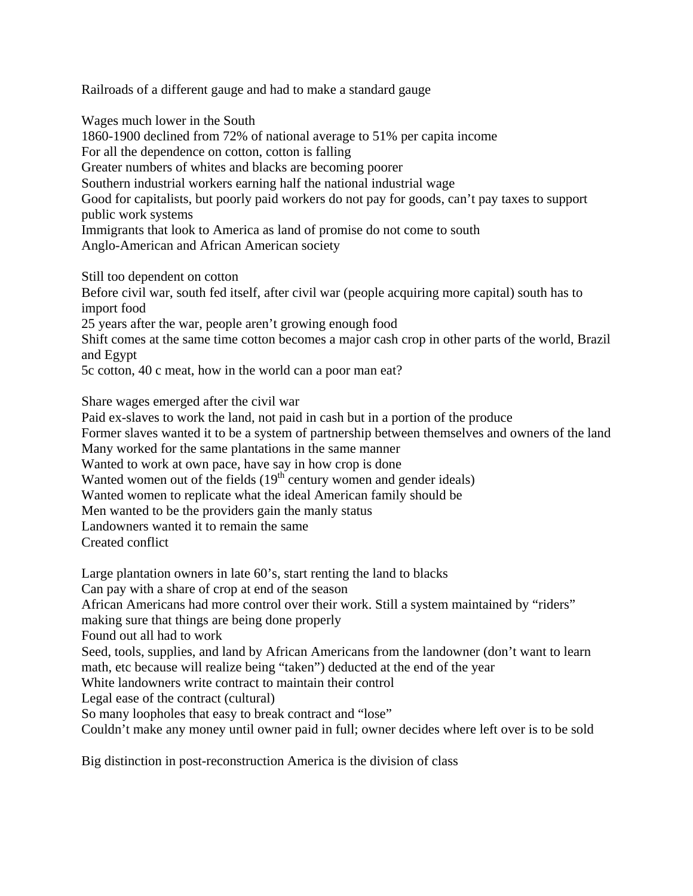Railroads of a different gauge and had to make a standard gauge

Wages much lower in the South 1860-1900 declined from 72% of national average to 51% per capita income For all the dependence on cotton, cotton is falling Greater numbers of whites and blacks are becoming poorer Southern industrial workers earning half the national industrial wage Good for capitalists, but poorly paid workers do not pay for goods, can't pay taxes to support public work systems Immigrants that look to America as land of promise do not come to south Anglo-American and African American society

Still too dependent on cotton Before civil war, south fed itself, after civil war (people acquiring more capital) south has to import food 25 years after the war, people aren't growing enough food Shift comes at the same time cotton becomes a major cash crop in other parts of the world, Brazil and Egypt 5c cotton, 40 c meat, how in the world can a poor man eat?

Share wages emerged after the civil war

Paid ex-slaves to work the land, not paid in cash but in a portion of the produce

Former slaves wanted it to be a system of partnership between themselves and owners of the land Many worked for the same plantations in the same manner

Wanted to work at own pace, have say in how crop is done

Wanted women out of the fields  $(19<sup>th</sup>$  century women and gender ideals)

Wanted women to replicate what the ideal American family should be

Men wanted to be the providers gain the manly status

Landowners wanted it to remain the same

Created conflict

Large plantation owners in late 60's, start renting the land to blacks

Can pay with a share of crop at end of the season

African Americans had more control over their work. Still a system maintained by "riders"

making sure that things are being done properly

Found out all had to work

Seed, tools, supplies, and land by African Americans from the landowner (don't want to learn math, etc because will realize being "taken") deducted at the end of the year

White landowners write contract to maintain their control

Legal ease of the contract (cultural)

So many loopholes that easy to break contract and "lose"

Couldn't make any money until owner paid in full; owner decides where left over is to be sold

Big distinction in post-reconstruction America is the division of class